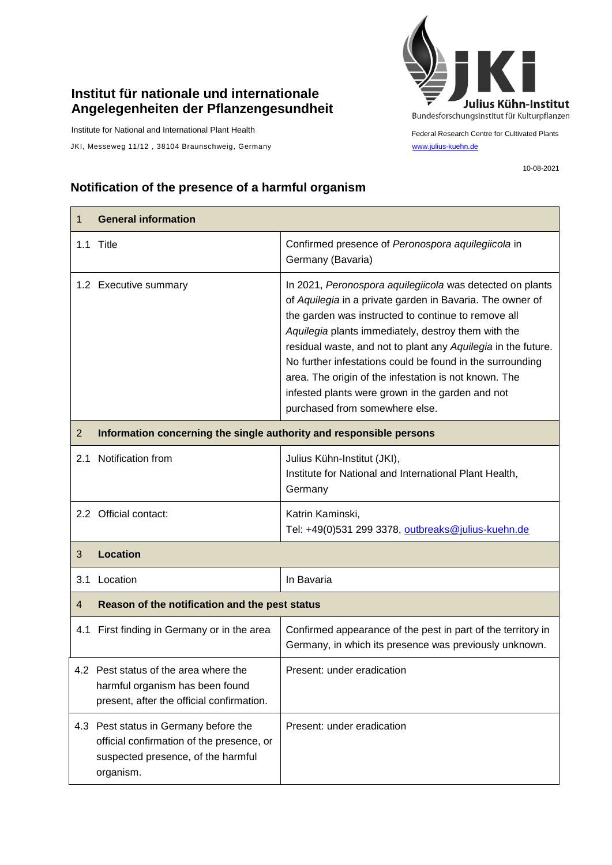## **Institut für nationale und internationale Angelegenheiten der Pflanzengesundheit**

Institute for National and International Plant Health

JKI, Messeweg 11/12, 38104 Braunschweig, Germany [www.julius-kuehn.de](http://www.julius-kuehn.de/)



Federal Research Centre for Cultivated Plants

10-08-2021

## **Notification of the presence of a harmful organism**

| 1              | <b>General information</b>                                                                                                            |                                                                                                                                                                                                                                                                                                                                                                                                                                                                                                                   |  |
|----------------|---------------------------------------------------------------------------------------------------------------------------------------|-------------------------------------------------------------------------------------------------------------------------------------------------------------------------------------------------------------------------------------------------------------------------------------------------------------------------------------------------------------------------------------------------------------------------------------------------------------------------------------------------------------------|--|
|                | 1.1 Title                                                                                                                             | Confirmed presence of Peronospora aquilegiicola in<br>Germany (Bavaria)                                                                                                                                                                                                                                                                                                                                                                                                                                           |  |
|                | 1.2 Executive summary                                                                                                                 | In 2021, Peronospora aquilegiicola was detected on plants<br>of Aquilegia in a private garden in Bavaria. The owner of<br>the garden was instructed to continue to remove all<br>Aquilegia plants immediately, destroy them with the<br>residual waste, and not to plant any Aquilegia in the future.<br>No further infestations could be found in the surrounding<br>area. The origin of the infestation is not known. The<br>infested plants were grown in the garden and not<br>purchased from somewhere else. |  |
| $\overline{2}$ | Information concerning the single authority and responsible persons                                                                   |                                                                                                                                                                                                                                                                                                                                                                                                                                                                                                                   |  |
|                | 2.1 Notification from                                                                                                                 | Julius Kühn-Institut (JKI),<br>Institute for National and International Plant Health,<br>Germany                                                                                                                                                                                                                                                                                                                                                                                                                  |  |
|                | 2.2 Official contact:                                                                                                                 | Katrin Kaminski,<br>Tel: +49(0)531 299 3378, outbreaks@julius-kuehn.de                                                                                                                                                                                                                                                                                                                                                                                                                                            |  |
| 3              | <b>Location</b>                                                                                                                       |                                                                                                                                                                                                                                                                                                                                                                                                                                                                                                                   |  |
| 3.1            | Location                                                                                                                              | In Bavaria                                                                                                                                                                                                                                                                                                                                                                                                                                                                                                        |  |
| $\overline{4}$ | Reason of the notification and the pest status                                                                                        |                                                                                                                                                                                                                                                                                                                                                                                                                                                                                                                   |  |
| 4.1            | First finding in Germany or in the area                                                                                               | Confirmed appearance of the pest in part of the territory in<br>Germany, in which its presence was previously unknown.                                                                                                                                                                                                                                                                                                                                                                                            |  |
|                | 4.2 Pest status of the area where the<br>harmful organism has been found<br>present, after the official confirmation.                 | Present: under eradication                                                                                                                                                                                                                                                                                                                                                                                                                                                                                        |  |
|                | 4.3 Pest status in Germany before the<br>official confirmation of the presence, or<br>suspected presence, of the harmful<br>organism. | Present: under eradication                                                                                                                                                                                                                                                                                                                                                                                                                                                                                        |  |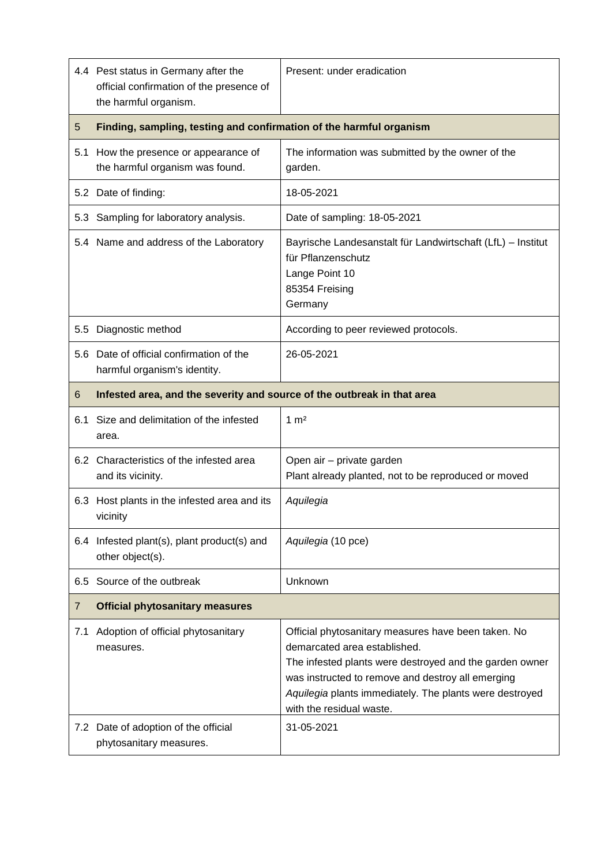|                 | 4.4 Pest status in Germany after the<br>official confirmation of the presence of<br>the harmful organism. | Present: under eradication                                                                                                                                                                                                                                                                 |  |
|-----------------|-----------------------------------------------------------------------------------------------------------|--------------------------------------------------------------------------------------------------------------------------------------------------------------------------------------------------------------------------------------------------------------------------------------------|--|
| $5\overline{)}$ | Finding, sampling, testing and confirmation of the harmful organism                                       |                                                                                                                                                                                                                                                                                            |  |
|                 | 5.1 How the presence or appearance of<br>the harmful organism was found.                                  | The information was submitted by the owner of the<br>garden.                                                                                                                                                                                                                               |  |
|                 | 5.2 Date of finding:                                                                                      | 18-05-2021                                                                                                                                                                                                                                                                                 |  |
| 5.3             | Sampling for laboratory analysis.                                                                         | Date of sampling: 18-05-2021                                                                                                                                                                                                                                                               |  |
|                 | 5.4 Name and address of the Laboratory                                                                    | Bayrische Landesanstalt für Landwirtschaft (LfL) - Institut<br>für Pflanzenschutz<br>Lange Point 10<br>85354 Freising<br>Germany                                                                                                                                                           |  |
| 5.5             | Diagnostic method                                                                                         | According to peer reviewed protocols.                                                                                                                                                                                                                                                      |  |
|                 | 5.6 Date of official confirmation of the<br>harmful organism's identity.                                  | 26-05-2021                                                                                                                                                                                                                                                                                 |  |
| 6               | Infested area, and the severity and source of the outbreak in that area                                   |                                                                                                                                                                                                                                                                                            |  |
| 6.1             | Size and delimitation of the infested<br>area.                                                            | $1 \text{ m}^2$                                                                                                                                                                                                                                                                            |  |
|                 | 6.2 Characteristics of the infested area<br>and its vicinity.                                             | Open air - private garden<br>Plant already planted, not to be reproduced or moved                                                                                                                                                                                                          |  |
|                 | 6.3 Host plants in the infested area and its<br>vicinity                                                  | Aquilegia                                                                                                                                                                                                                                                                                  |  |
|                 | 6.4 Infested plant(s), plant product(s) and<br>other object(s).                                           | Aquilegia (10 pce)                                                                                                                                                                                                                                                                         |  |
| 6.5             | Source of the outbreak                                                                                    | Unknown                                                                                                                                                                                                                                                                                    |  |
| $\overline{7}$  | <b>Official phytosanitary measures</b>                                                                    |                                                                                                                                                                                                                                                                                            |  |
| 7.1             | Adoption of official phytosanitary<br>measures.                                                           | Official phytosanitary measures have been taken. No<br>demarcated area established.<br>The infested plants were destroyed and the garden owner<br>was instructed to remove and destroy all emerging<br>Aquilegia plants immediately. The plants were destroyed<br>with the residual waste. |  |
|                 | 7.2 Date of adoption of the official<br>phytosanitary measures.                                           | 31-05-2021                                                                                                                                                                                                                                                                                 |  |